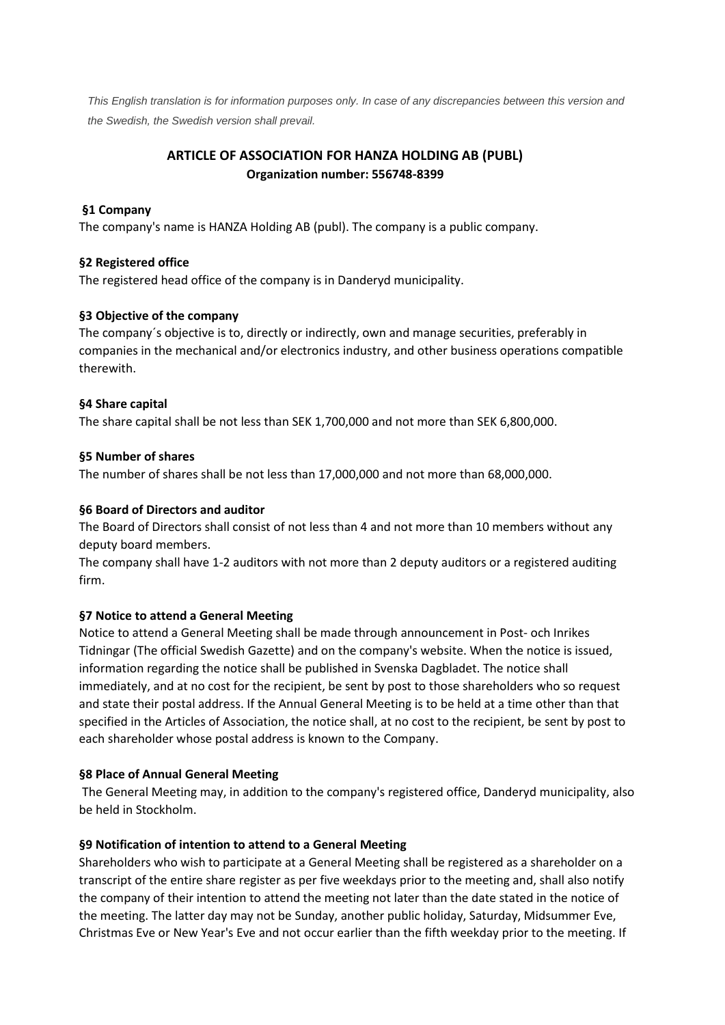*This English translation is for information purposes only. In case of any discrepancies between this version and the Swedish, the Swedish version shall prevail.*

# **ARTICLE OF ASSOCIATION FOR HANZA HOLDING AB (PUBL) Organization number: 556748-8399**

### **§1 Company**

The company's name is HANZA Holding AB (publ). The company is a public company.

# **§2 Registered office**

The registered head office of the company is in Danderyd municipality.

# **§3 Objective of the company**

The company´s objective is to, directly or indirectly, own and manage securities, preferably in companies in the mechanical and/or electronics industry, and other business operations compatible therewith.

# **§4 Share capital**

The share capital shall be not less than SEK 1,700,000 and not more than SEK 6,800,000.

# **§5 Number of shares**

The number of shares shall be not less than 17,000,000 and not more than 68,000,000.

# **§6 Board of Directors and auditor**

The Board of Directors shall consist of not less than 4 and not more than 10 members without any deputy board members.

The company shall have 1-2 auditors with not more than 2 deputy auditors or a registered auditing firm.

# **§7 Notice to attend a General Meeting**

Notice to attend a General Meeting shall be made through announcement in Post- och Inrikes Tidningar (The official Swedish Gazette) and on the company's website. When the notice is issued, information regarding the notice shall be published in Svenska Dagbladet. The notice shall immediately, and at no cost for the recipient, be sent by post to those shareholders who so request and state their postal address. If the Annual General Meeting is to be held at a time other than that specified in the Articles of Association, the notice shall, at no cost to the recipient, be sent by post to each shareholder whose postal address is known to the Company.

#### **§8 Place of Annual General Meeting**

The General Meeting may, in addition to the company's registered office, Danderyd municipality, also be held in Stockholm.

# **§9 Notification of intention to attend to a General Meeting**

Shareholders who wish to participate at a General Meeting shall be registered as a shareholder on a transcript of the entire share register as per five weekdays prior to the meeting and, shall also notify the company of their intention to attend the meeting not later than the date stated in the notice of the meeting. The latter day may not be Sunday, another public holiday, Saturday, Midsummer Eve, Christmas Eve or New Year's Eve and not occur earlier than the fifth weekday prior to the meeting. If